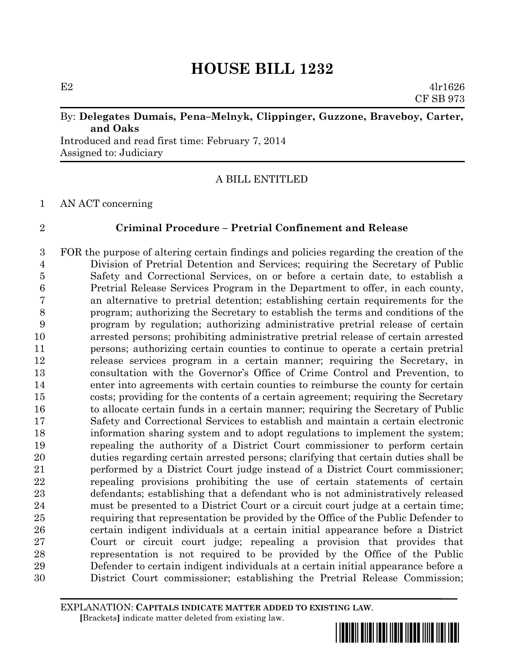E2  $4\ln 1626$ CF SB 973

# By: **Delegates Dumais, Pena–Melnyk, Clippinger, Guzzone, Braveboy, Carter, and Oaks**

Introduced and read first time: February 7, 2014 Assigned to: Judiciary

# A BILL ENTITLED

## AN ACT concerning

# **Criminal Procedure – Pretrial Confinement and Release**

 FOR the purpose of altering certain findings and policies regarding the creation of the Division of Pretrial Detention and Services; requiring the Secretary of Public Safety and Correctional Services, on or before a certain date, to establish a Pretrial Release Services Program in the Department to offer, in each county, an alternative to pretrial detention; establishing certain requirements for the program; authorizing the Secretary to establish the terms and conditions of the program by regulation; authorizing administrative pretrial release of certain arrested persons; prohibiting administrative pretrial release of certain arrested persons; authorizing certain counties to continue to operate a certain pretrial release services program in a certain manner; requiring the Secretary, in consultation with the Governor's Office of Crime Control and Prevention, to enter into agreements with certain counties to reimburse the county for certain costs; providing for the contents of a certain agreement; requiring the Secretary to allocate certain funds in a certain manner; requiring the Secretary of Public Safety and Correctional Services to establish and maintain a certain electronic information sharing system and to adopt regulations to implement the system; repealing the authority of a District Court commissioner to perform certain duties regarding certain arrested persons; clarifying that certain duties shall be performed by a District Court judge instead of a District Court commissioner; repealing provisions prohibiting the use of certain statements of certain defendants; establishing that a defendant who is not administratively released must be presented to a District Court or a circuit court judge at a certain time; requiring that representation be provided by the Office of the Public Defender to certain indigent individuals at a certain initial appearance before a District Court or circuit court judge; repealing a provision that provides that representation is not required to be provided by the Office of the Public Defender to certain indigent individuals at a certain initial appearance before a District Court commissioner; establishing the Pretrial Release Commission;

EXPLANATION: **CAPITALS INDICATE MATTER ADDED TO EXISTING LAW**.  **[**Brackets**]** indicate matter deleted from existing law.

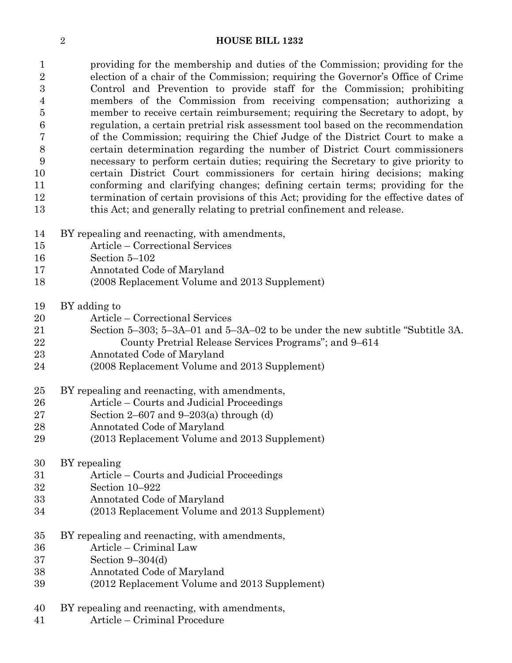providing for the membership and duties of the Commission; providing for the election of a chair of the Commission; requiring the Governor's Office of Crime Control and Prevention to provide staff for the Commission; prohibiting members of the Commission from receiving compensation; authorizing a member to receive certain reimbursement; requiring the Secretary to adopt, by regulation, a certain pretrial risk assessment tool based on the recommendation of the Commission; requiring the Chief Judge of the District Court to make a certain determination regarding the number of District Court commissioners necessary to perform certain duties; requiring the Secretary to give priority to certain District Court commissioners for certain hiring decisions; making conforming and clarifying changes; defining certain terms; providing for the termination of certain provisions of this Act; providing for the effective dates of this Act; and generally relating to pretrial confinement and release.

- BY repealing and reenacting, with amendments,
- Article Correctional Services
- Section 5–102
- Annotated Code of Maryland
- (2008 Replacement Volume and 2013 Supplement)
- BY adding to
- Article Correctional Services
- Section 5–303; 5–3A–01 and 5–3A–02 to be under the new subtitle "Subtitle 3A.
- County Pretrial Release Services Programs"; and 9–614
- Annotated Code of Maryland
- (2008 Replacement Volume and 2013 Supplement)

## BY repealing and reenacting, with amendments,

- Article Courts and Judicial Proceedings
- Section 2–607 and 9–203(a) through (d)
- Annotated Code of Maryland
- (2013 Replacement Volume and 2013 Supplement)

# BY repealing

- Article Courts and Judicial Proceedings
- Section 10–922
- Annotated Code of Maryland
- (2013 Replacement Volume and 2013 Supplement)
- BY repealing and reenacting, with amendments,
- Article Criminal Law
- Section 9–304(d)
- Annotated Code of Maryland
- (2012 Replacement Volume and 2013 Supplement)
- BY repealing and reenacting, with amendments,
- Article Criminal Procedure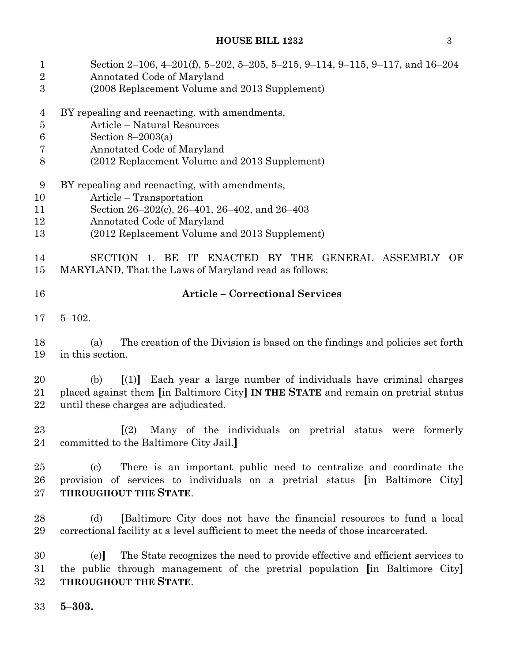| $\mathbf{1}$<br>$\overline{2}$<br>$\overline{3}$        | Section 2–106, 4–201(f), 5–202, 5–205, 5–215, 9–114, 9–115, 9–117, and 16–204<br>Annotated Code of Maryland<br>(2008 Replacement Volume and 2013 Supplement)                                                              |
|---------------------------------------------------------|---------------------------------------------------------------------------------------------------------------------------------------------------------------------------------------------------------------------------|
| $\overline{4}$<br>$\overline{5}$<br>$\,6$<br>7<br>$8\,$ | BY repealing and reenacting, with amendments,<br>Article - Natural Resources<br>Section $8-2003(a)$<br>Annotated Code of Maryland<br>(2012 Replacement Volume and 2013 Supplement)                                        |
| $9\phantom{.0}$<br>10<br>11<br>12<br>13                 | BY repealing and reenacting, with amendments,<br>Article – Transportation<br>Section 26–202(c), 26–401, 26–402, and 26–403<br>Annotated Code of Maryland<br>(2012 Replacement Volume and 2013 Supplement)                 |
| 14<br>15                                                | ENACTED BY THE GENERAL ASSEMBLY OF<br>SECTION 1. BE<br>$\Gamma$<br>MARYLAND, That the Laws of Maryland read as follows:                                                                                                   |
| 16                                                      | <b>Article - Correctional Services</b>                                                                                                                                                                                    |
| 17                                                      | $5 - 102.$                                                                                                                                                                                                                |
| 18<br>19                                                | The creation of the Division is based on the findings and policies set forth<br>(a)<br>in this section.                                                                                                                   |
| 20<br>21<br>22                                          | Each year a large number of individuals have criminal charges<br>(b)<br>$\lceil (1) \rceil$<br>placed against them [in Baltimore City] IN THE STATE and remain on pretrial status<br>until these charges are adjudicated. |
| 23<br>24                                                | Many of the individuals on pretrial status were formerly<br>$\Gamma(2)$<br>committed to the Baltimore City Jail.                                                                                                          |
| 25<br>26<br>27                                          | There is an important public need to centralize and coordinate the<br>(c)<br>provision of services to individuals on a pretrial status [in Baltimore City]<br>THROUGHOUT THE STATE.                                       |
| 28<br>29                                                | [Baltimore City does not have the financial resources to fund a local<br>(d)<br>correctional facility at a level sufficient to meet the needs of those incarcerated.                                                      |
| 30<br>31<br>32                                          | The State recognizes the need to provide effective and efficient services to<br>(e)<br>the public through management of the pretrial population [in Baltimore City]<br>THROUGHOUT THE STATE.                              |

**5–303.**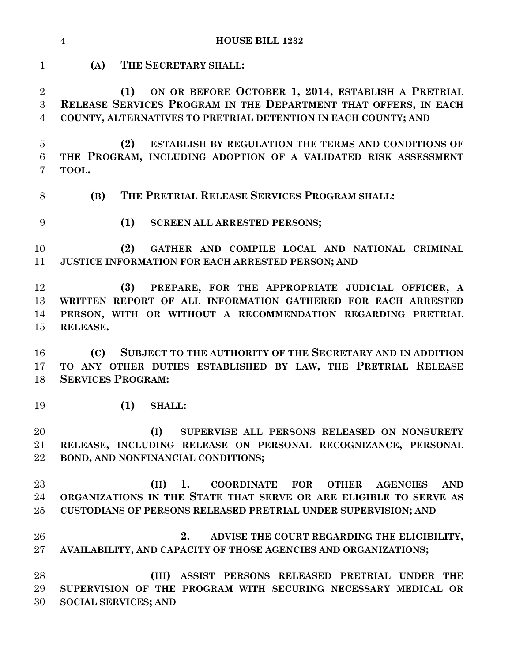|                                       | $\overline{4}$<br><b>HOUSE BILL 1232</b>                                                                                                                                                                                              |
|---------------------------------------|---------------------------------------------------------------------------------------------------------------------------------------------------------------------------------------------------------------------------------------|
| $\mathbf{1}$                          | (A)<br>THE SECRETARY SHALL:                                                                                                                                                                                                           |
| $\overline{2}$<br>3<br>$\overline{4}$ | ON OR BEFORE OCTOBER 1, 2014, ESTABLISH A PRETRIAL<br>(1)<br>RELEASE SERVICES PROGRAM IN THE DEPARTMENT THAT OFFERS, IN EACH<br>COUNTY, ALTERNATIVES TO PRETRIAL DETENTION IN EACH COUNTY; AND                                        |
| $\overline{5}$<br>6<br>7              | (2)<br>ESTABLISH BY REGULATION THE TERMS AND CONDITIONS OF<br>THE PROGRAM, INCLUDING ADOPTION OF A VALIDATED RISK ASSESSMENT<br>TOOL.                                                                                                 |
| 8                                     | (B)<br>THE PRETRIAL RELEASE SERVICES PROGRAM SHALL:                                                                                                                                                                                   |
| 9                                     | (1)<br><b>SCREEN ALL ARRESTED PERSONS;</b>                                                                                                                                                                                            |
| 10<br>11                              | (2)<br>GATHER AND COMPILE LOCAL AND NATIONAL CRIMINAL<br>JUSTICE INFORMATION FOR EACH ARRESTED PERSON; AND                                                                                                                            |
| 12<br>13<br>14<br>15                  | (3)<br>PREPARE, FOR THE APPROPRIATE JUDICIAL OFFICER, A<br>WRITTEN REPORT OF ALL INFORMATION GATHERED FOR EACH ARRESTED<br>PERSON, WITH OR WITHOUT A RECOMMENDATION REGARDING PRETRIAL<br>RELEASE.                                    |
| 16<br>17<br>18                        | SUBJECT TO THE AUTHORITY OF THE SECRETARY AND IN ADDITION<br>(C)<br>TO ANY OTHER DUTIES ESTABLISHED BY LAW, THE PRETRIAL RELEASE<br><b>SERVICES PROGRAM:</b>                                                                          |
| 19                                    | (1)<br><b>SHALL:</b>                                                                                                                                                                                                                  |
| 20<br>21<br>22                        | (I)<br>SUPERVISE ALL PERSONS RELEASED ON NONSURETY<br>RELEASE, INCLUDING RELEASE ON PERSONAL RECOGNIZANCE, PERSONAL<br>BOND, AND NONFINANCIAL CONDITIONS;                                                                             |
| 23<br>24<br>25                        | (II)<br><b>FOR</b><br>1.<br><b>COORDINATE</b><br><b>OTHER</b><br><b>AGENCIES</b><br><b>AND</b><br>ORGANIZATIONS IN THE STATE THAT SERVE OR ARE ELIGIBLE TO SERVE AS<br>CUSTODIANS OF PERSONS RELEASED PRETRIAL UNDER SUPERVISION; AND |
| 26<br>$27\,$                          | 2.<br>ADVISE THE COURT REGARDING THE ELIGIBILITY,<br>AVAILABILITY, AND CAPACITY OF THOSE AGENCIES AND ORGANIZATIONS;                                                                                                                  |
| 28<br>29<br>30                        | ASSIST PERSONS RELEASED PRETRIAL UNDER THE<br>(III)<br>SUPERVISION OF THE PROGRAM WITH SECURING NECESSARY MEDICAL OR<br><b>SOCIAL SERVICES; AND</b>                                                                                   |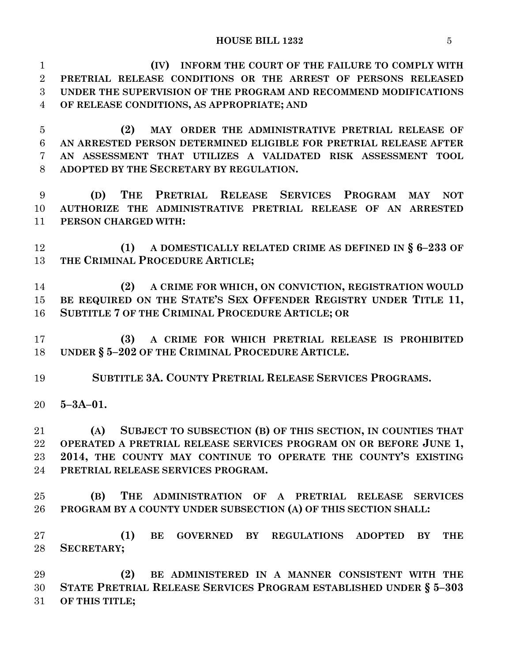**(IV) INFORM THE COURT OF THE FAILURE TO COMPLY WITH PRETRIAL RELEASE CONDITIONS OR THE ARREST OF PERSONS RELEASED UNDER THE SUPERVISION OF THE PROGRAM AND RECOMMEND MODIFICATIONS OF RELEASE CONDITIONS, AS APPROPRIATE; AND (2) MAY ORDER THE ADMINISTRATIVE PRETRIAL RELEASE OF AN ARRESTED PERSON DETERMINED ELIGIBLE FOR PRETRIAL RELEASE AFTER AN ASSESSMENT THAT UTILIZES A VALIDATED RISK ASSESSMENT TOOL ADOPTED BY THE SECRETARY BY REGULATION. (D) THE PRETRIAL RELEASE SERVICES PROGRAM MAY NOT AUTHORIZE THE ADMINISTRATIVE PRETRIAL RELEASE OF AN ARRESTED PERSON CHARGED WITH: (1) A DOMESTICALLY RELATED CRIME AS DEFINED IN § 6–233 OF THE CRIMINAL PROCEDURE ARTICLE; (2) A CRIME FOR WHICH, ON CONVICTION, REGISTRATION WOULD BE REQUIRED ON THE STATE'S SEX OFFENDER REGISTRY UNDER TITLE 11, SUBTITLE 7 OF THE CRIMINAL PROCEDURE ARTICLE; OR (3) A CRIME FOR WHICH PRETRIAL RELEASE IS PROHIBITED UNDER § 5–202 OF THE CRIMINAL PROCEDURE ARTICLE. SUBTITLE 3A. COUNTY PRETRIAL RELEASE SERVICES PROGRAMS. 5–3A–01. (A) SUBJECT TO SUBSECTION (B) OF THIS SECTION, IN COUNTIES THAT OPERATED A PRETRIAL RELEASE SERVICES PROGRAM ON OR BEFORE JUNE 1, 2014, THE COUNTY MAY CONTINUE TO OPERATE THE COUNTY'S EXISTING PRETRIAL RELEASE SERVICES PROGRAM. (B) THE ADMINISTRATION OF A PRETRIAL RELEASE SERVICES PROGRAM BY A COUNTY UNDER SUBSECTION (A) OF THIS SECTION SHALL: (1) BE GOVERNED BY REGULATIONS ADOPTED BY THE SECRETARY; (2) BE ADMINISTERED IN A MANNER CONSISTENT WITH THE STATE PRETRIAL RELEASE SERVICES PROGRAM ESTABLISHED UNDER § 5–303 OF THIS TITLE;**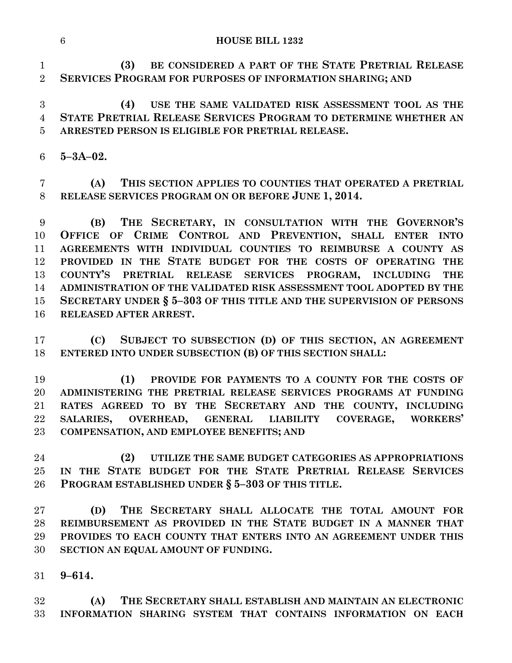**(3) BE CONSIDERED A PART OF THE STATE PRETRIAL RELEASE SERVICES PROGRAM FOR PURPOSES OF INFORMATION SHARING; AND**

 **(4) USE THE SAME VALIDATED RISK ASSESSMENT TOOL AS THE STATE PRETRIAL RELEASE SERVICES PROGRAM TO DETERMINE WHETHER AN ARRESTED PERSON IS ELIGIBLE FOR PRETRIAL RELEASE.**

**5–3A–02.**

 **(A) THIS SECTION APPLIES TO COUNTIES THAT OPERATED A PRETRIAL RELEASE SERVICES PROGRAM ON OR BEFORE JUNE 1, 2014.**

 **(B) THE SECRETARY, IN CONSULTATION WITH THE GOVERNOR'S OFFICE OF CRIME CONTROL AND PREVENTION, SHALL ENTER INTO AGREEMENTS WITH INDIVIDUAL COUNTIES TO REIMBURSE A COUNTY AS PROVIDED IN THE STATE BUDGET FOR THE COSTS OF OPERATING THE COUNTY'S PRETRIAL RELEASE SERVICES PROGRAM, INCLUDING THE ADMINISTRATION OF THE VALIDATED RISK ASSESSMENT TOOL ADOPTED BY THE SECRETARY UNDER § 5–303 OF THIS TITLE AND THE SUPERVISION OF PERSONS RELEASED AFTER ARREST.**

 **(C) SUBJECT TO SUBSECTION (D) OF THIS SECTION, AN AGREEMENT ENTERED INTO UNDER SUBSECTION (B) OF THIS SECTION SHALL:**

 **(1) PROVIDE FOR PAYMENTS TO A COUNTY FOR THE COSTS OF ADMINISTERING THE PRETRIAL RELEASE SERVICES PROGRAMS AT FUNDING RATES AGREED TO BY THE SECRETARY AND THE COUNTY, INCLUDING SALARIES, OVERHEAD, GENERAL LIABILITY COVERAGE, WORKERS' COMPENSATION, AND EMPLOYEE BENEFITS; AND**

 **(2) UTILIZE THE SAME BUDGET CATEGORIES AS APPROPRIATIONS IN THE STATE BUDGET FOR THE STATE PRETRIAL RELEASE SERVICES PROGRAM ESTABLISHED UNDER § 5–303 OF THIS TITLE.**

 **(D) THE SECRETARY SHALL ALLOCATE THE TOTAL AMOUNT FOR REIMBURSEMENT AS PROVIDED IN THE STATE BUDGET IN A MANNER THAT PROVIDES TO EACH COUNTY THAT ENTERS INTO AN AGREEMENT UNDER THIS SECTION AN EQUAL AMOUNT OF FUNDING.**

**9–614.**

 **(A) THE SECRETARY SHALL ESTABLISH AND MAINTAIN AN ELECTRONIC INFORMATION SHARING SYSTEM THAT CONTAINS INFORMATION ON EACH**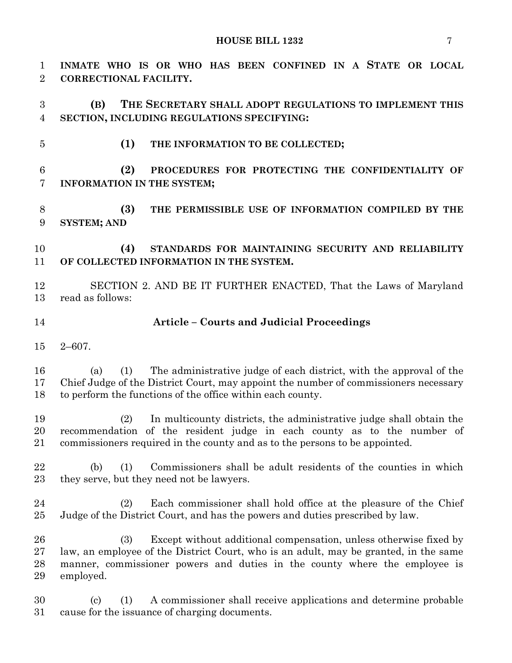**INMATE WHO IS OR WHO HAS BEEN CONFINED IN A STATE OR LOCAL CORRECTIONAL FACILITY. (B) THE SECRETARY SHALL ADOPT REGULATIONS TO IMPLEMENT THIS SECTION, INCLUDING REGULATIONS SPECIFYING: (1) THE INFORMATION TO BE COLLECTED; (2) PROCEDURES FOR PROTECTING THE CONFIDENTIALITY OF INFORMATION IN THE SYSTEM; (3) THE PERMISSIBLE USE OF INFORMATION COMPILED BY THE SYSTEM; AND (4) STANDARDS FOR MAINTAINING SECURITY AND RELIABILITY OF COLLECTED INFORMATION IN THE SYSTEM.** SECTION 2. AND BE IT FURTHER ENACTED, That the Laws of Maryland read as follows: **Article – Courts and Judicial Proceedings** 2–607. (a) (1) The administrative judge of each district, with the approval of the Chief Judge of the District Court, may appoint the number of commissioners necessary to perform the functions of the office within each county. (2) In multicounty districts, the administrative judge shall obtain the recommendation of the resident judge in each county as to the number of commissioners required in the county and as to the persons to be appointed. (b) (1) Commissioners shall be adult residents of the counties in which they serve, but they need not be lawyers. (2) Each commissioner shall hold office at the pleasure of the Chief Judge of the District Court, and has the powers and duties prescribed by law. (3) Except without additional compensation, unless otherwise fixed by law, an employee of the District Court, who is an adult, may be granted, in the same manner, commissioner powers and duties in the county where the employee is employed. (c) (1) A commissioner shall receive applications and determine probable cause for the issuance of charging documents.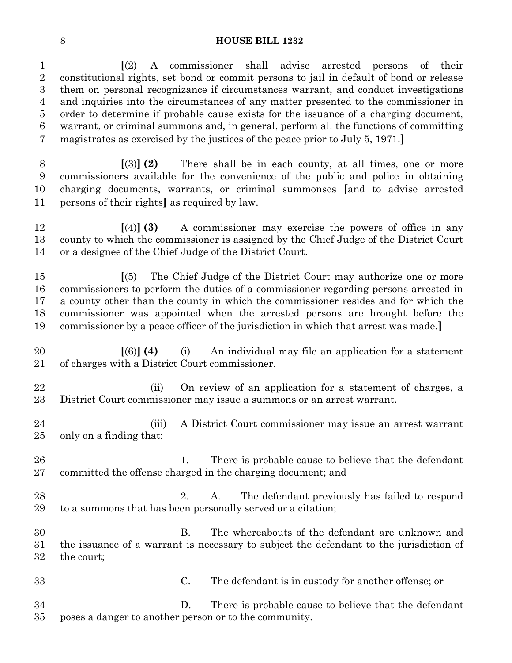**[**(2) A commissioner shall advise arrested persons of their constitutional rights, set bond or commit persons to jail in default of bond or release them on personal recognizance if circumstances warrant, and conduct investigations and inquiries into the circumstances of any matter presented to the commissioner in order to determine if probable cause exists for the issuance of a charging document, warrant, or criminal summons and, in general, perform all the functions of committing magistrates as exercised by the justices of the peace prior to July 5, 1971.**]**

 **[**(3)**] (2)** There shall be in each county, at all times, one or more commissioners available for the convenience of the public and police in obtaining charging documents, warrants, or criminal summonses **[**and to advise arrested persons of their rights**]** as required by law.

 **[**(4)**] (3)** A commissioner may exercise the powers of office in any county to which the commissioner is assigned by the Chief Judge of the District Court or a designee of the Chief Judge of the District Court.

 **[**(5) The Chief Judge of the District Court may authorize one or more commissioners to perform the duties of a commissioner regarding persons arrested in a county other than the county in which the commissioner resides and for which the commissioner was appointed when the arrested persons are brought before the commissioner by a peace officer of the jurisdiction in which that arrest was made.**]**

 **[**(6)**] (4)** (i) An individual may file an application for a statement of charges with a District Court commissioner.

 (ii) On review of an application for a statement of charges, a District Court commissioner may issue a summons or an arrest warrant.

 (iii) A District Court commissioner may issue an arrest warrant only on a finding that:

26 1. There is probable cause to believe that the defendant committed the offense charged in the charging document; and

28 28 2. A. The defendant previously has failed to respond to a summons that has been personally served or a citation;

 B. The whereabouts of the defendant are unknown and the issuance of a warrant is necessary to subject the defendant to the jurisdiction of the court;

 C. The defendant is in custody for another offense; or D. There is probable cause to believe that the defendant

poses a danger to another person or to the community.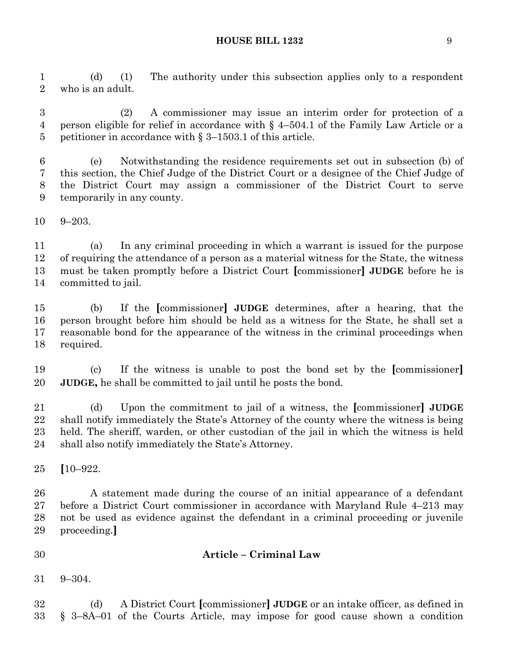(d) (1) The authority under this subsection applies only to a respondent who is an adult.

 (2) A commissioner may issue an interim order for protection of a person eligible for relief in accordance with § 4–504.1 of the Family Law Article or a petitioner in accordance with § 3–1503.1 of this article.

 (e) Notwithstanding the residence requirements set out in subsection (b) of this section, the Chief Judge of the District Court or a designee of the Chief Judge of the District Court may assign a commissioner of the District Court to serve temporarily in any county.

9–203.

 (a) In any criminal proceeding in which a warrant is issued for the purpose of requiring the attendance of a person as a material witness for the State, the witness must be taken promptly before a District Court **[**commissioner**] JUDGE** before he is committed to jail.

 (b) If the **[**commissioner**] JUDGE** determines, after a hearing, that the person brought before him should be held as a witness for the State, he shall set a reasonable bond for the appearance of the witness in the criminal proceedings when required.

 (c) If the witness is unable to post the bond set by the **[**commissioner**] JUDGE,** he shall be committed to jail until he posts the bond.

 (d) Upon the commitment to jail of a witness, the **[**commissioner**] JUDGE** shall notify immediately the State's Attorney of the county where the witness is being held. The sheriff, warden, or other custodian of the jail in which the witness is held shall also notify immediately the State's Attorney.

**[**10–922.

 A statement made during the course of an initial appearance of a defendant before a District Court commissioner in accordance with Maryland Rule 4–213 may not be used as evidence against the defendant in a criminal proceeding or juvenile proceeding.**]**

**Article – Criminal Law**

9–304.

 (d) A District Court **[**commissioner**] JUDGE** or an intake officer, as defined in § 3–8A–01 of the Courts Article, may impose for good cause shown a condition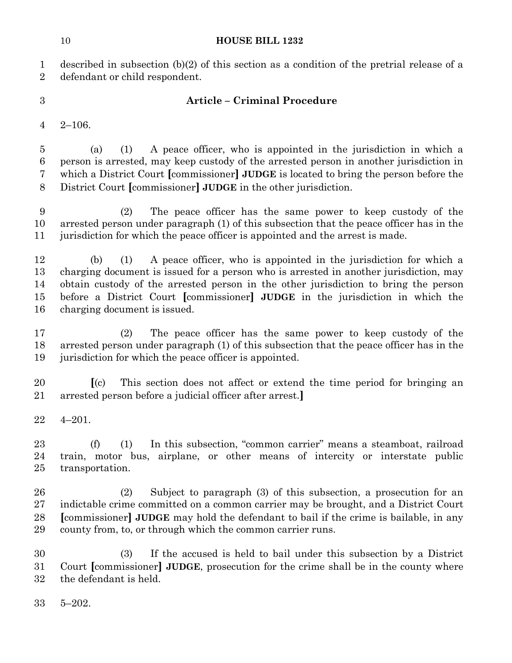described in subsection (b)(2) of this section as a condition of the pretrial release of a defendant or child respondent.

# **Article – Criminal Procedure**

2–106.

 (a) (1) A peace officer, who is appointed in the jurisdiction in which a person is arrested, may keep custody of the arrested person in another jurisdiction in which a District Court **[**commissioner**] JUDGE** is located to bring the person before the District Court **[**commissioner**] JUDGE** in the other jurisdiction.

 (2) The peace officer has the same power to keep custody of the arrested person under paragraph (1) of this subsection that the peace officer has in the jurisdiction for which the peace officer is appointed and the arrest is made.

 (b) (1) A peace officer, who is appointed in the jurisdiction for which a charging document is issued for a person who is arrested in another jurisdiction, may obtain custody of the arrested person in the other jurisdiction to bring the person before a District Court **[**commissioner**] JUDGE** in the jurisdiction in which the charging document is issued.

 (2) The peace officer has the same power to keep custody of the arrested person under paragraph (1) of this subsection that the peace officer has in the jurisdiction for which the peace officer is appointed.

 **[**(c) This section does not affect or extend the time period for bringing an arrested person before a judicial officer after arrest.**]**

4–201.

 (f) (1) In this subsection, "common carrier" means a steamboat, railroad train, motor bus, airplane, or other means of intercity or interstate public transportation.

 (2) Subject to paragraph (3) of this subsection, a prosecution for an indictable crime committed on a common carrier may be brought, and a District Court **[**commissioner**] JUDGE** may hold the defendant to bail if the crime is bailable, in any county from, to, or through which the common carrier runs.

 (3) If the accused is held to bail under this subsection by a District Court **[**commissioner**] JUDGE**, prosecution for the crime shall be in the county where the defendant is held.

5–202.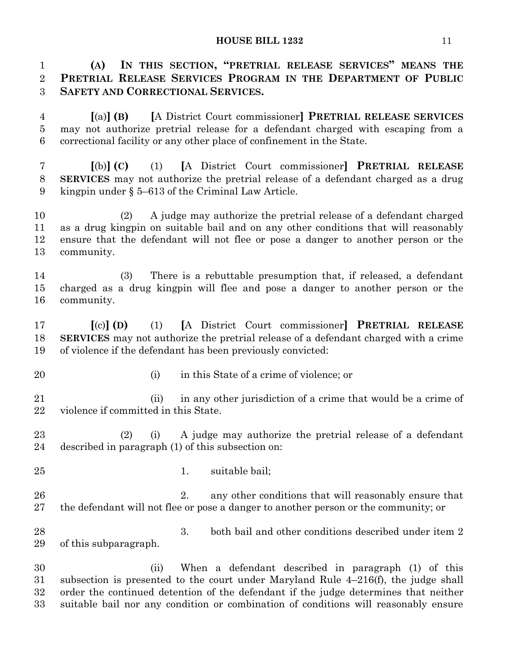**(A) IN THIS SECTION, "PRETRIAL RELEASE SERVICES" MEANS THE PRETRIAL RELEASE SERVICES PROGRAM IN THE DEPARTMENT OF PUBLIC SAFETY AND CORRECTIONAL SERVICES.**

 **[**(a)**] (B) [**A District Court commissioner**] PRETRIAL RELEASE SERVICES** may not authorize pretrial release for a defendant charged with escaping from a correctional facility or any other place of confinement in the State.

 **[**(b)**] (C)** (1) **[**A District Court commissioner**] PRETRIAL RELEASE SERVICES** may not authorize the pretrial release of a defendant charged as a drug kingpin under § 5–613 of the Criminal Law Article.

 (2) A judge may authorize the pretrial release of a defendant charged as a drug kingpin on suitable bail and on any other conditions that will reasonably ensure that the defendant will not flee or pose a danger to another person or the community.

 (3) There is a rebuttable presumption that, if released, a defendant charged as a drug kingpin will flee and pose a danger to another person or the community.

 **[**(c)**] (D)** (1) **[**A District Court commissioner**] PRETRIAL RELEASE SERVICES** may not authorize the pretrial release of a defendant charged with a crime of violence if the defendant has been previously convicted:

- 
- (i) in this State of a crime of violence; or

 (ii) in any other jurisdiction of a crime that would be a crime of violence if committed in this State.

 (2) (i) A judge may authorize the pretrial release of a defendant described in paragraph (1) of this subsection on:

- 
- 25 1. suitable bail;

26 2. any other conditions that will reasonably ensure that the defendant will not flee or pose a danger to another person or the community; or

 3. both bail and other conditions described under item 2 of this subparagraph.

 (ii) When a defendant described in paragraph (1) of this subsection is presented to the court under Maryland Rule 4–216(f), the judge shall order the continued detention of the defendant if the judge determines that neither suitable bail nor any condition or combination of conditions will reasonably ensure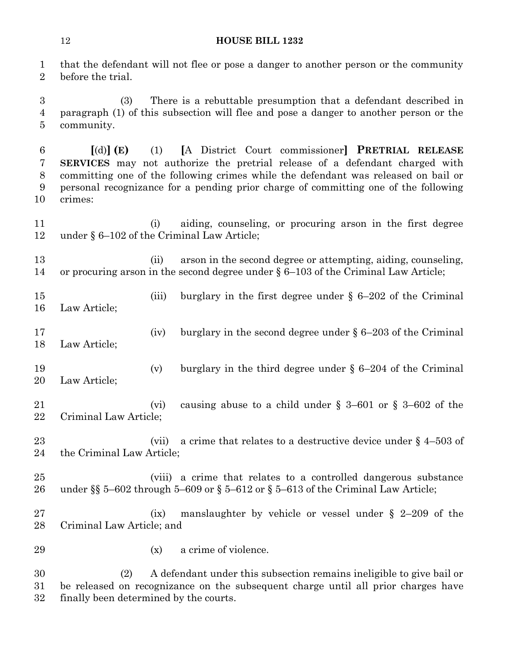that the defendant will not flee or pose a danger to another person or the community before the trial.

 (3) There is a rebuttable presumption that a defendant described in paragraph (1) of this subsection will flee and pose a danger to another person or the community.

 **[**(d)**] (E)** (1) **[**A District Court commissioner**] PRETRIAL RELEASE SERVICES** may not authorize the pretrial release of a defendant charged with committing one of the following crimes while the defendant was released on bail or personal recognizance for a pending prior charge of committing one of the following crimes:

 (i) aiding, counseling, or procuring arson in the first degree under § 6–102 of the Criminal Law Article;

 (ii) arson in the second degree or attempting, aiding, counseling, or procuring arson in the second degree under § 6–103 of the Criminal Law Article;

- 15 (iii) burglary in the first degree under § 6–202 of the Criminal Law Article;
- (iv) burglary in the second degree under § 6–203 of the Criminal Law Article;
- (v) burglary in the third degree under § 6–204 of the Criminal Law Article;
- (vi) causing abuse to a child under § 3–601 or § 3–602 of the Criminal Law Article;
- 23 (vii) a crime that relates to a destructive device under § 4–503 of the Criminal Law Article;
- (viii) a crime that relates to a controlled dangerous substance under §§ 5–602 through 5–609 or § 5–612 or § 5–613 of the Criminal Law Article;

 (ix) manslaughter by vehicle or vessel under § 2–209 of the Criminal Law Article; and

(x) a crime of violence.

 (2) A defendant under this subsection remains ineligible to give bail or be released on recognizance on the subsequent charge until all prior charges have finally been determined by the courts.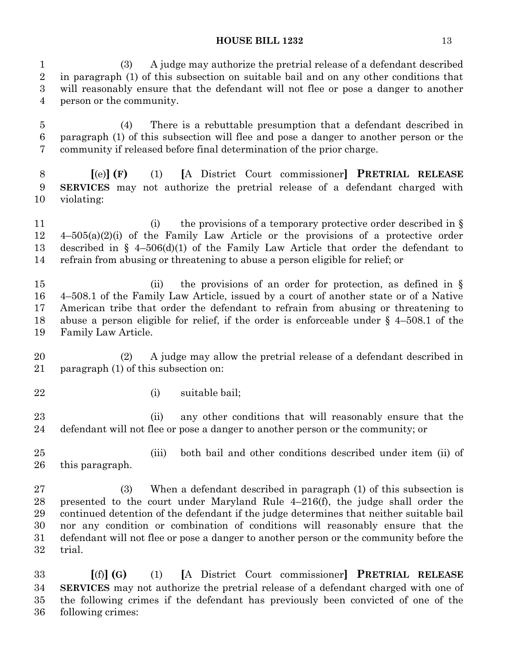(3) A judge may authorize the pretrial release of a defendant described in paragraph (1) of this subsection on suitable bail and on any other conditions that will reasonably ensure that the defendant will not flee or pose a danger to another person or the community.

 (4) There is a rebuttable presumption that a defendant described in paragraph (1) of this subsection will flee and pose a danger to another person or the community if released before final determination of the prior charge.

 **[**(e)**] (F)** (1) **[**A District Court commissioner**] PRETRIAL RELEASE SERVICES** may not authorize the pretrial release of a defendant charged with violating:

11 (i) the provisions of a temporary protective order described in § 4–505(a)(2)(i) of the Family Law Article or the provisions of a protective order described in § 4–506(d)(1) of the Family Law Article that order the defendant to refrain from abusing or threatening to abuse a person eligible for relief; or

15 (ii) the provisions of an order for protection, as defined in § 4–508.1 of the Family Law Article, issued by a court of another state or of a Native American tribe that order the defendant to refrain from abusing or threatening to abuse a person eligible for relief, if the order is enforceable under § 4–508.1 of the Family Law Article.

 (2) A judge may allow the pretrial release of a defendant described in paragraph (1) of this subsection on:

(i) suitable bail;

23 (ii) any other conditions that will reasonably ensure that the defendant will not flee or pose a danger to another person or the community; or

 (iii) both bail and other conditions described under item (ii) of this paragraph.

 (3) When a defendant described in paragraph (1) of this subsection is presented to the court under Maryland Rule 4–216(f), the judge shall order the continued detention of the defendant if the judge determines that neither suitable bail nor any condition or combination of conditions will reasonably ensure that the defendant will not flee or pose a danger to another person or the community before the trial.

 **[**(f)**] (G)** (1) **[**A District Court commissioner**] PRETRIAL RELEASE SERVICES** may not authorize the pretrial release of a defendant charged with one of the following crimes if the defendant has previously been convicted of one of the following crimes: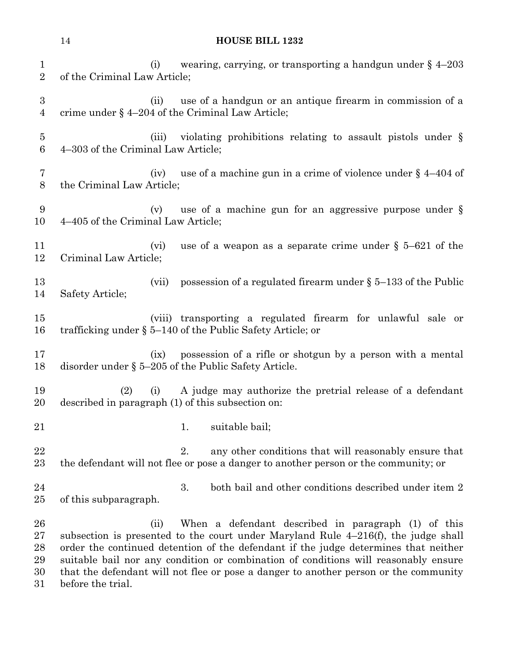|                                    | <b>HOUSE BILL 1232</b><br>14                                                                                                                                                                                                                                                                                                       |
|------------------------------------|------------------------------------------------------------------------------------------------------------------------------------------------------------------------------------------------------------------------------------------------------------------------------------------------------------------------------------|
| $\mathbf{1}$<br>$\overline{2}$     | wearing, carrying, or transporting a handgun under $\S$ 4-203<br>(i)<br>of the Criminal Law Article;                                                                                                                                                                                                                               |
| $\boldsymbol{3}$<br>$\overline{4}$ | use of a handgun or an antique firearm in commission of a<br>(ii)<br>crime under $\S$ 4-204 of the Criminal Law Article;                                                                                                                                                                                                           |
| $\overline{5}$<br>6                | violating prohibitions relating to assault pistols under §<br>(iii)<br>4–303 of the Criminal Law Article;                                                                                                                                                                                                                          |
| 7<br>8                             | use of a machine gun in a crime of violence under $\S$ 4–404 of<br>(iv)<br>the Criminal Law Article;                                                                                                                                                                                                                               |
| 9<br>10                            | use of a machine gun for an aggressive purpose under $\S$<br>(v)<br>4–405 of the Criminal Law Article;                                                                                                                                                                                                                             |
| 11<br>12                           | use of a weapon as a separate crime under $\S$ 5-621 of the<br>(vi)<br>Criminal Law Article;                                                                                                                                                                                                                                       |
| 13<br>14                           | possession of a regulated firearm under $\S$ 5–133 of the Public<br>(vii)<br>Safety Article;                                                                                                                                                                                                                                       |
| 15<br>16                           | (viii) transporting a regulated firearm for unlawful sale or<br>trafficking under $\S 5-140$ of the Public Safety Article; or                                                                                                                                                                                                      |
| 17<br>18                           | possession of a rifle or shotgun by a person with a mental<br>(ix)<br>disorder under $\S$ 5–205 of the Public Safety Article.                                                                                                                                                                                                      |
| 19<br>20                           | (2)<br>A judge may authorize the pretrial release of a defendant<br>(i)<br>described in paragraph (1) of this subsection on:                                                                                                                                                                                                       |
| 21                                 | suitable bail;<br>1.                                                                                                                                                                                                                                                                                                               |
| 22<br>23                           | any other conditions that will reasonably ensure that<br>2.<br>the defendant will not flee or pose a danger to another person or the community; or                                                                                                                                                                                 |
| 24<br>25                           | both bail and other conditions described under item 2<br>3.<br>of this subparagraph.                                                                                                                                                                                                                                               |
| 26<br>27<br>28<br>29               | When a defendant described in paragraph (1) of this<br>(ii)<br>subsection is presented to the court under Maryland Rule $4-216(f)$ , the judge shall<br>order the continued detention of the defendant if the judge determines that neither<br>suitable bail nor any condition or combination of conditions will reasonably ensure |

 suitable bail nor any condition or combination of conditions will reasonably ensure that the defendant will not flee or pose a danger to another person or the community before the trial.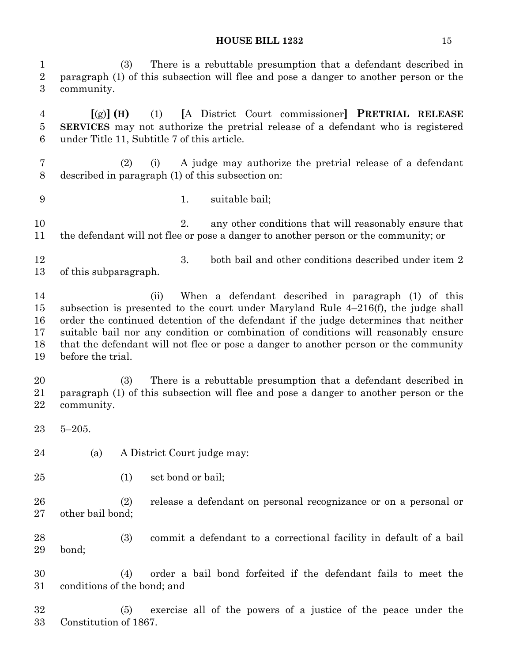(3) There is a rebuttable presumption that a defendant described in paragraph (1) of this subsection will flee and pose a danger to another person or the community. **[**(g)**] (H)** (1) **[**A District Court commissioner**] PRETRIAL RELEASE SERVICES** may not authorize the pretrial release of a defendant who is registered under Title 11, Subtitle 7 of this article. (2) (i) A judge may authorize the pretrial release of a defendant described in paragraph (1) of this subsection on: 1. suitable bail; 10 2. any other conditions that will reasonably ensure that the defendant will not flee or pose a danger to another person or the community; or 12 3. both bail and other conditions described under item 2 of this subparagraph. (ii) When a defendant described in paragraph (1) of this subsection is presented to the court under Maryland Rule 4–216(f), the judge shall order the continued detention of the defendant if the judge determines that neither suitable bail nor any condition or combination of conditions will reasonably ensure that the defendant will not flee or pose a danger to another person or the community before the trial. (3) There is a rebuttable presumption that a defendant described in paragraph (1) of this subsection will flee and pose a danger to another person or the community. 5–205. (a) A District Court judge may: (1) set bond or bail; (2) release a defendant on personal recognizance or on a personal or other bail bond; (3) commit a defendant to a correctional facility in default of a bail bond; (4) order a bail bond forfeited if the defendant fails to meet the conditions of the bond; and (5) exercise all of the powers of a justice of the peace under the Constitution of 1867.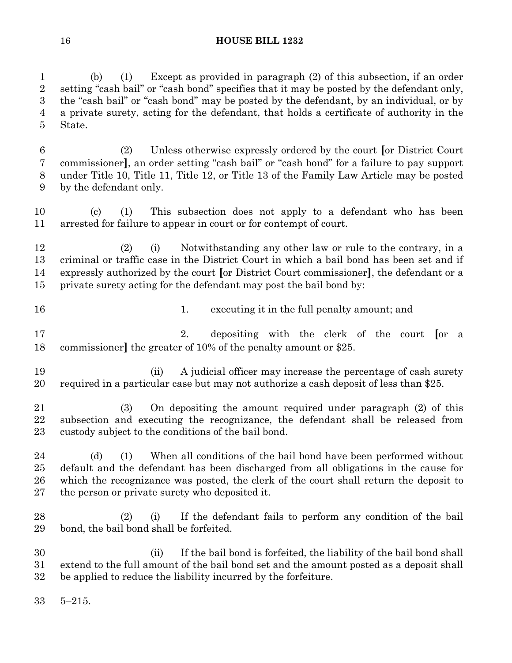(b) (1) Except as provided in paragraph (2) of this subsection, if an order setting "cash bail" or "cash bond" specifies that it may be posted by the defendant only, the "cash bail" or "cash bond" may be posted by the defendant, by an individual, or by a private surety, acting for the defendant, that holds a certificate of authority in the State.

 (2) Unless otherwise expressly ordered by the court **[**or District Court commissioner**]**, an order setting "cash bail" or "cash bond" for a failure to pay support under Title 10, Title 11, Title 12, or Title 13 of the Family Law Article may be posted by the defendant only.

 (c) (1) This subsection does not apply to a defendant who has been arrested for failure to appear in court or for contempt of court.

 (2) (i) Notwithstanding any other law or rule to the contrary, in a criminal or traffic case in the District Court in which a bail bond has been set and if expressly authorized by the court **[**or District Court commissioner**]**, the defendant or a private surety acting for the defendant may post the bail bond by:

16 16 1. executing it in the full penalty amount; and

 2. depositing with the clerk of the court **[**or a commissioner**]** the greater of 10% of the penalty amount or \$25.

19 (ii) A judicial officer may increase the percentage of cash surety required in a particular case but may not authorize a cash deposit of less than \$25.

 (3) On depositing the amount required under paragraph (2) of this subsection and executing the recognizance, the defendant shall be released from custody subject to the conditions of the bail bond.

24 (d) (1) When all conditions of the bail bond have been performed without default and the defendant has been discharged from all obligations in the cause for which the recognizance was posted, the clerk of the court shall return the deposit to the person or private surety who deposited it.

 (2) (i) If the defendant fails to perform any condition of the bail bond, the bail bond shall be forfeited.

 (ii) If the bail bond is forfeited, the liability of the bail bond shall extend to the full amount of the bail bond set and the amount posted as a deposit shall be applied to reduce the liability incurred by the forfeiture.

5–215.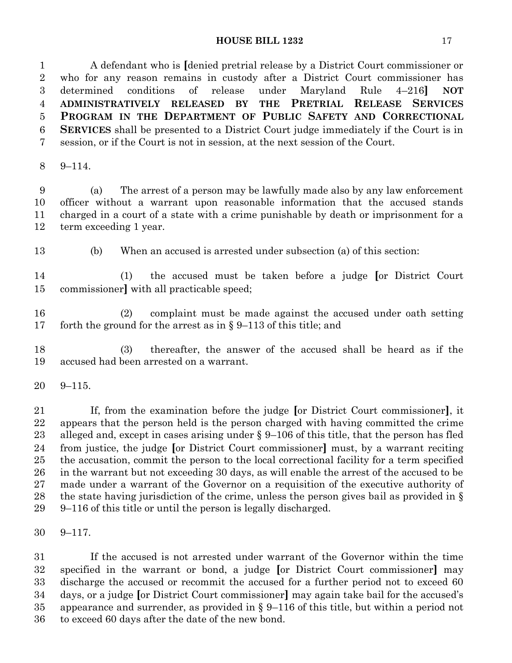A defendant who is **[**denied pretrial release by a District Court commissioner or who for any reason remains in custody after a District Court commissioner has determined conditions of release under Maryland Rule 4–216**] NOT ADMINISTRATIVELY RELEASED BY THE PRETRIAL RELEASE SERVICES PROGRAM IN THE DEPARTMENT OF PUBLIC SAFETY AND CORRECTIONAL SERVICES** shall be presented to a District Court judge immediately if the Court is in session, or if the Court is not in session, at the next session of the Court.

9–114.

 (a) The arrest of a person may be lawfully made also by any law enforcement officer without a warrant upon reasonable information that the accused stands charged in a court of a state with a crime punishable by death or imprisonment for a term exceeding 1 year.

(b) When an accused is arrested under subsection (a) of this section:

 (1) the accused must be taken before a judge **[**or District Court commissioner**]** with all practicable speed;

 (2) complaint must be made against the accused under oath setting forth the ground for the arrest as in § 9–113 of this title; and

 (3) thereafter, the answer of the accused shall be heard as if the accused had been arrested on a warrant.

9–115.

 If, from the examination before the judge **[**or District Court commissioner**]**, it appears that the person held is the person charged with having committed the crime alleged and, except in cases arising under § 9–106 of this title, that the person has fled from justice, the judge **[**or District Court commissioner**]** must, by a warrant reciting the accusation, commit the person to the local correctional facility for a term specified in the warrant but not exceeding 30 days, as will enable the arrest of the accused to be made under a warrant of the Governor on a requisition of the executive authority of the state having jurisdiction of the crime, unless the person gives bail as provided in § 9–116 of this title or until the person is legally discharged.

9–117.

 If the accused is not arrested under warrant of the Governor within the time specified in the warrant or bond, a judge **[**or District Court commissioner**]** may discharge the accused or recommit the accused for a further period not to exceed 60 days, or a judge **[**or District Court commissioner**]** may again take bail for the accused's appearance and surrender, as provided in § 9–116 of this title, but within a period not to exceed 60 days after the date of the new bond.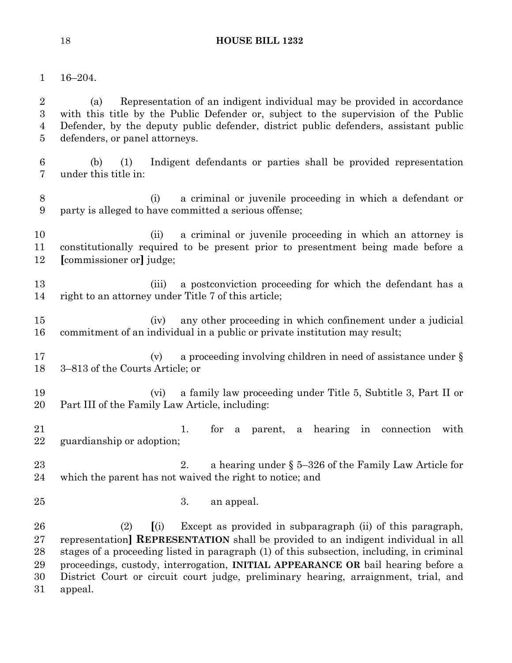16–204.

 (a) Representation of an indigent individual may be provided in accordance with this title by the Public Defender or, subject to the supervision of the Public Defender, by the deputy public defender, district public defenders, assistant public defenders, or panel attorneys.

- (b) (1) Indigent defendants or parties shall be provided representation under this title in:
- (i) a criminal or juvenile proceeding in which a defendant or party is alleged to have committed a serious offense;
- 10 (ii) a criminal or juvenile proceeding in which an attorney is constitutionally required to be present prior to presentment being made before a **[**commissioner or**]** judge;
- 13 (iii) a postconviction proceeding for which the defendant has a right to an attorney under Title 7 of this article;
- (iv) any other proceeding in which confinement under a judicial commitment of an individual in a public or private institution may result;
- 17 (v) a proceeding involving children in need of assistance under § 3–813 of the Courts Article; or
- (vi) a family law proceeding under Title 5, Subtitle 3, Part II or Part III of the Family Law Article, including:
- 21 1. for a parent, a hearing in connection with guardianship or adoption;
- 2. a hearing under § 5–326 of the Family Law Article for which the parent has not waived the right to notice; and
- 3. an appeal.

 (2) **[**(i) Except as provided in subparagraph (ii) of this paragraph, representation**] REPRESENTATION** shall be provided to an indigent individual in all stages of a proceeding listed in paragraph (1) of this subsection, including, in criminal proceedings, custody, interrogation, **INITIAL APPEARANCE OR** bail hearing before a District Court or circuit court judge, preliminary hearing, arraignment, trial, and appeal.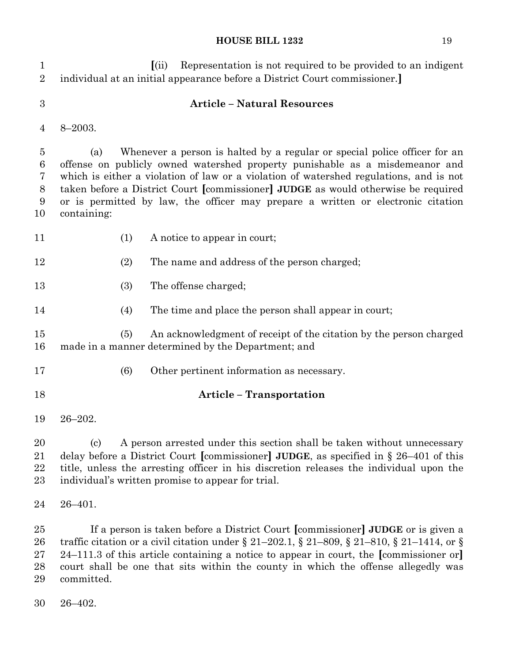| $\mathbf 1$<br>$\overline{2}$                | Representation is not required to be provided to an indigent<br>(iii)<br>individual at an initial appearance before a District Court commissioner.                                                                                                                                                                                                                                                                                                 |
|----------------------------------------------|----------------------------------------------------------------------------------------------------------------------------------------------------------------------------------------------------------------------------------------------------------------------------------------------------------------------------------------------------------------------------------------------------------------------------------------------------|
| $\boldsymbol{3}$                             | <b>Article - Natural Resources</b>                                                                                                                                                                                                                                                                                                                                                                                                                 |
| 4                                            | $8 - 2003.$                                                                                                                                                                                                                                                                                                                                                                                                                                        |
| $\overline{5}$<br>6<br>7<br>$8\,$<br>9<br>10 | Whenever a person is halted by a regular or special police officer for an<br>(a)<br>offense on publicly owned watershed property punishable as a misdemeanor and<br>which is either a violation of law or a violation of watershed regulations, and is not<br>taken before a District Court [commissioner] JUDGE as would otherwise be required<br>or is permitted by law, the officer may prepare a written or electronic citation<br>containing: |
| 11                                           | (1)<br>A notice to appear in court;                                                                                                                                                                                                                                                                                                                                                                                                                |
| 12                                           | (2)<br>The name and address of the person charged;                                                                                                                                                                                                                                                                                                                                                                                                 |
| 13                                           | The offense charged;<br>(3)                                                                                                                                                                                                                                                                                                                                                                                                                        |
| 14                                           | (4)<br>The time and place the person shall appear in court;                                                                                                                                                                                                                                                                                                                                                                                        |
| 15<br>16                                     | An acknowledgment of receipt of the citation by the person charged<br>(5)<br>made in a manner determined by the Department; and                                                                                                                                                                                                                                                                                                                    |
| 17                                           | (6)<br>Other pertinent information as necessary.                                                                                                                                                                                                                                                                                                                                                                                                   |
| 18                                           | <b>Article - Transportation</b>                                                                                                                                                                                                                                                                                                                                                                                                                    |
| 19                                           | $26 - 202$ .                                                                                                                                                                                                                                                                                                                                                                                                                                       |
| 20<br>21<br>22<br>23                         | A person arrested under this section shall be taken without unnecessary<br>(c)<br>delay before a District Court [commissioner] JUDGE, as specified in $\S 26-401$ of this<br>title, unless the arresting officer in his discretion releases the individual upon the<br>individual's written promise to appear for trial.                                                                                                                           |
| 24                                           | $26 - 401.$                                                                                                                                                                                                                                                                                                                                                                                                                                        |
| 25<br>26<br>27<br>28<br>29                   | If a person is taken before a District Court [commissioner] JUDGE or is given a<br>traffic citation or a civil citation under § 21–202.1, § 21–809, § 21–810, § 21–1414, or §<br>$24-111.3$ of this article containing a notice to appear in court, the [commissioner or]<br>court shall be one that sits within the county in which the offense allegedly was<br>committed.                                                                       |

26–402.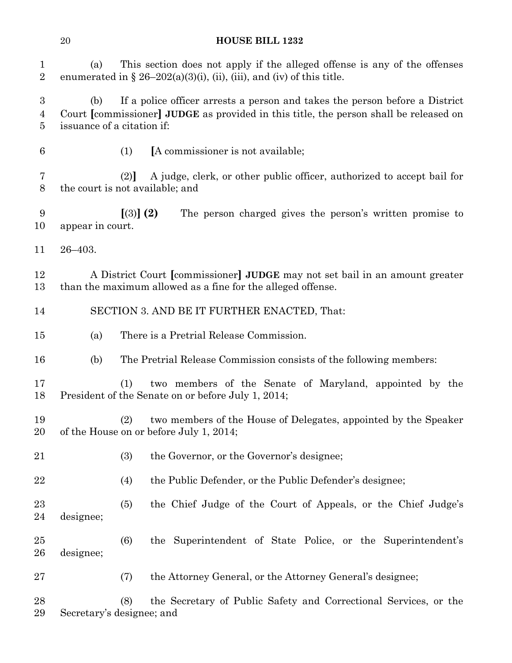(a) This section does not apply if the alleged offense is any of the offenses 2 enumerated in  $\S 26-202(a)(3)(i)$ , (ii), (iii), and (iv) of this title.

 (b) If a police officer arrests a person and takes the person before a District Court **[**commissioner**] JUDGE** as provided in this title, the person shall be released on issuance of a citation if:

- 
- (1) **[**A commissioner is not available;

 (2)**]** A judge, clerk, or other public officer, authorized to accept bail for the court is not available; and

 **[**(3)**] (2)** The person charged gives the person's written promise to appear in court.

26–403.

 A District Court **[**commissioner**] JUDGE** may not set bail in an amount greater than the maximum allowed as a fine for the alleged offense.

- SECTION 3. AND BE IT FURTHER ENACTED, That:
- (a) There is a Pretrial Release Commission.
- (b) The Pretrial Release Commission consists of the following members:

 (1) two members of the Senate of Maryland, appointed by the President of the Senate on or before July 1, 2014;

- (2) two members of the House of Delegates, appointed by the Speaker of the House on or before July 1, 2014;
- (3) the Governor, or the Governor's designee;
- 22 (4) the Public Defender, or the Public Defender's designee;
- (5) the Chief Judge of the Court of Appeals, or the Chief Judge's designee;
- (6) the Superintendent of State Police, or the Superintendent's designee;
- (7) the Attorney General, or the Attorney General's designee;

 (8) the Secretary of Public Safety and Correctional Services, or the Secretary's designee; and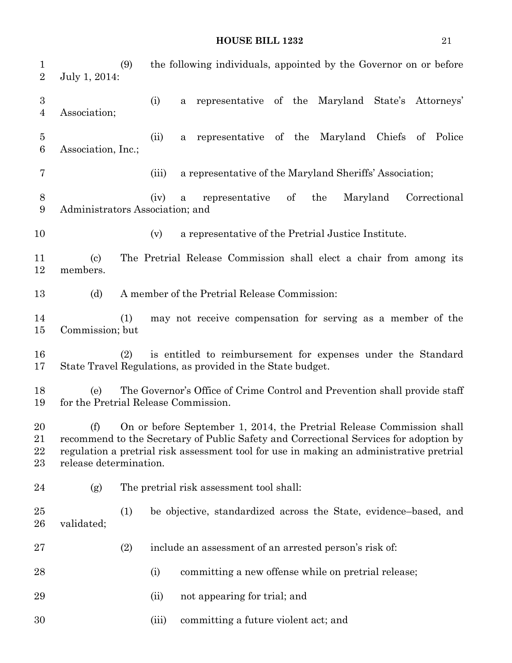(9) the following individuals, appointed by the Governor on or before July 1, 2014: (i) a representative of the Maryland State's Attorneys' Association; (ii) a representative of the Maryland Chiefs of Police Association, Inc.; (iii) a representative of the Maryland Sheriffs' Association; (iv) a representative of the Maryland Correctional Administrators Association; and (v) a representative of the Pretrial Justice Institute. (c) The Pretrial Release Commission shall elect a chair from among its members. (d) A member of the Pretrial Release Commission: (1) may not receive compensation for serving as a member of the Commission; but (2) is entitled to reimbursement for expenses under the Standard State Travel Regulations, as provided in the State budget. (e) The Governor's Office of Crime Control and Prevention shall provide staff for the Pretrial Release Commission. (f) On or before September 1, 2014, the Pretrial Release Commission shall recommend to the Secretary of Public Safety and Correctional Services for adoption by regulation a pretrial risk assessment tool for use in making an administrative pretrial release determination. (g) The pretrial risk assessment tool shall: (1) be objective, standardized across the State, evidence–based, and validated; (2) include an assessment of an arrested person's risk of: 28 (i) committing a new offense while on pretrial release; 29 (ii) not appearing for trial; and (iii) committing a future violent act; and